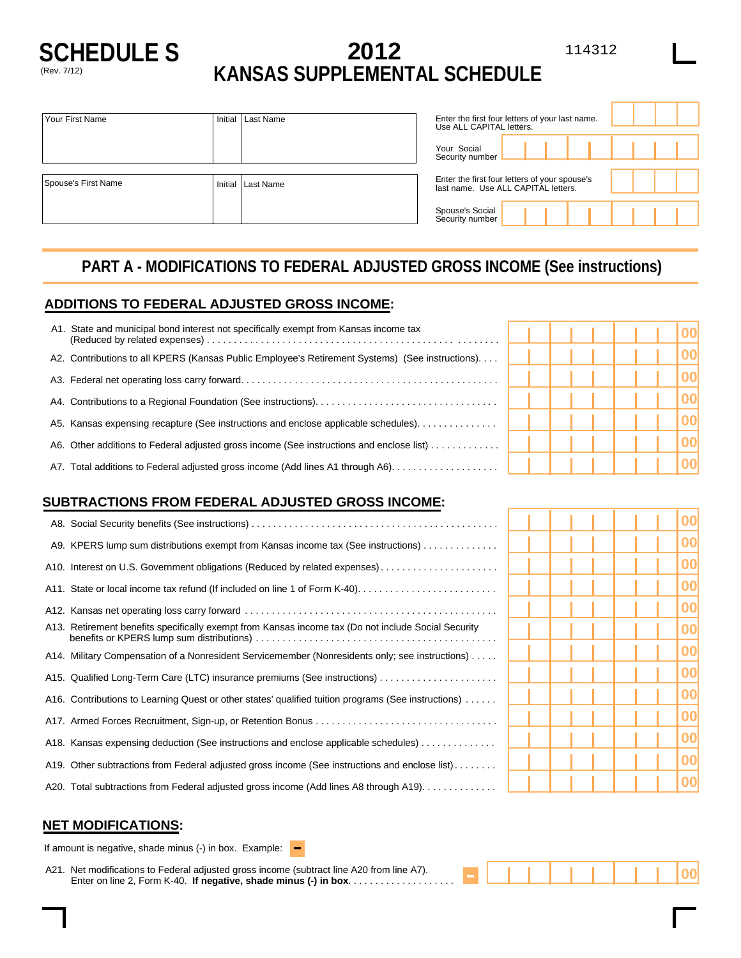

# **SCHEDULE S 2012** 114312 (Rev. 7/12) **KANSAS SUPPLEMENTAL SCHEDULE**

| Your First Name     | Initial | Last Name         | Use ALL CAPITAL letters.                                                             | Enter the first four letters of your last name. |  |  |
|---------------------|---------|-------------------|--------------------------------------------------------------------------------------|-------------------------------------------------|--|--|
|                     |         |                   | Your Social<br>Security number                                                       |                                                 |  |  |
| Spouse's First Name |         | Initial Last Name | Enter the first four letters of your spouse's<br>last name. Use ALL CAPITAL letters. |                                                 |  |  |
|                     |         |                   | Spouse's Social<br>Security number                                                   |                                                 |  |  |

## **PART A - MODIFICATIONS TO FEDERAL ADJUSTED GROSS INCOME (See instructions)**

#### **ADDITIONS TO FEDERAL ADJUSTED GROSS INCOME:**

| State and municipal bond interest not specifically exempt from Kansas income tax<br>A1.         |  |  |  |  |
|-------------------------------------------------------------------------------------------------|--|--|--|--|
| A2. Contributions to all KPERS (Kansas Public Employee's Retirement Systems) (See instructions) |  |  |  |  |
|                                                                                                 |  |  |  |  |
|                                                                                                 |  |  |  |  |
| A5. Kansas expensing recapture (See instructions and enclose applicable schedules).             |  |  |  |  |
| A6. Other additions to Federal adjusted gross income (See instructions and enclose list)        |  |  |  |  |
| A7. Total additions to Federal adjusted gross income (Add lines A1 through A6)                  |  |  |  |  |

#### **SUBTRACTIONS FROM FEDERAL ADJUSTED GROSS INCOME:**

| A9. KPERS lump sum distributions exempt from Kansas income tax (See instructions)                   |  |  |  |    |
|-----------------------------------------------------------------------------------------------------|--|--|--|----|
| A10. Interest on U.S. Government obligations (Reduced by related expenses)                          |  |  |  |    |
|                                                                                                     |  |  |  |    |
|                                                                                                     |  |  |  |    |
| A13. Retirement benefits specifically exempt from Kansas income tax (Do not include Social Security |  |  |  |    |
| A14. Military Compensation of a Nonresident Servicemember (Nonresidents only; see instructions)     |  |  |  | 00 |
| A15. Qualified Long-Term Care (LTC) insurance premiums (See instructions)                           |  |  |  | ററ |
| A16. Contributions to Learning Quest or other states' qualified tuition programs (See instructions) |  |  |  | 00 |
|                                                                                                     |  |  |  |    |
| A18. Kansas expensing deduction (See instructions and enclose applicable schedules)                 |  |  |  |    |
| A19. Other subtractions from Federal adjusted gross income (See instructions and enclose list)      |  |  |  |    |
| A20. Total subtractions from Federal adjusted gross income (Add lines A8 through A19).              |  |  |  |    |

#### **NET MODIFICATIONS:**

If amount is negative, shade minus (-) in box. Example:  $\blacksquare$ 

A21. Net modifications to Federal adjusted gross income (subtract line A20 from line A7). Enter on line 2, Form K-40. **If negative, shade minus (-) in box**....................

| ÷, |  |  |  |  |  | ______ |  |  |  |
|----|--|--|--|--|--|--------|--|--|--|
|    |  |  |  |  |  |        |  |  |  |